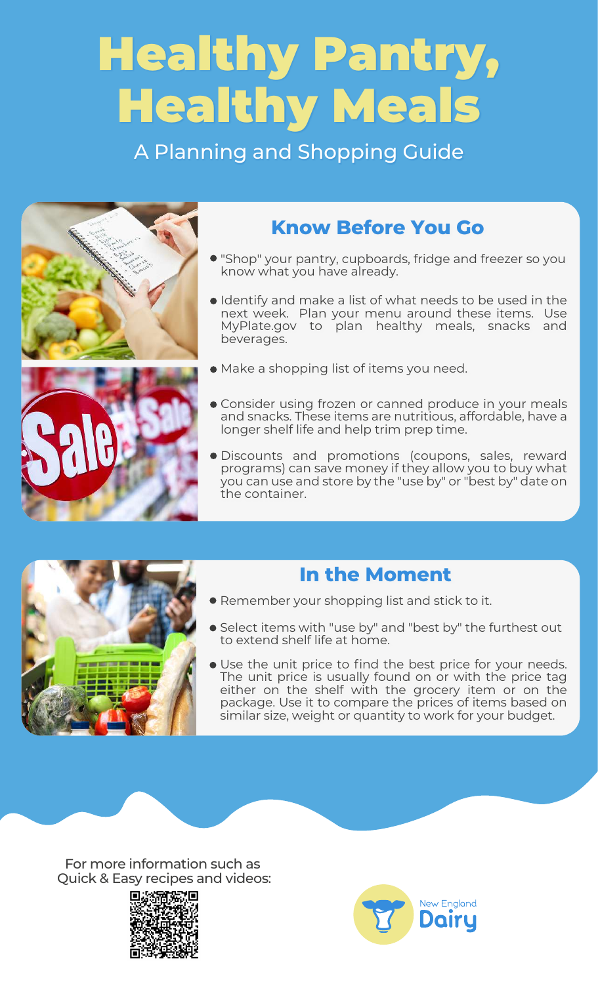## Healthy Pantry, Healthy Meals

A Planning and Shopping Guide



## **Know Before You Go**

- "Shop" your pantry, cupboards, fridge and freezer so you know what you have already.
- Identify and make a list of what needs to be used in the next week. Plan your menu around these items. Use MyPlate.gov to plan healthy meals, snacks and beverages.
- Make a shopping list of items you need.
- Consider using frozen or canned produce in your meals and snacks. These items are nutritious, affordable, have a longer shelf life and help trim prep time.
- Discounts and promotions (coupons, sales, reward programs) can save money if they allow you to buy what you can use and store by the "use by" or "best by" date on the container.



### **In the Moment**

- Remember your shopping list and stick to it.
- Select items with "use by" and "best by" the furthest out to extend shelf life at home.
- Use the unit price to find the best price for your needs. The unit price is usually found on or with the price tag either on the shelf with the grocery item or on the package. Use it to compare the prices of items based on similar size, weight or quantity to work for your budget.

For more information such as Quick & Easy recipes and videos: